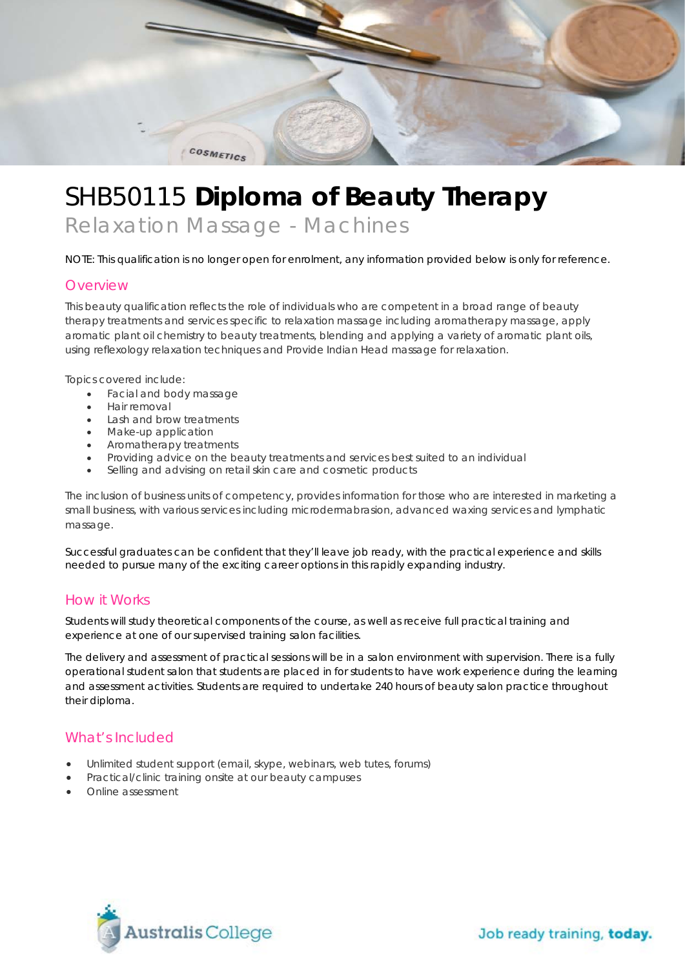

# SHB50115 **Diploma of Beauty Therapy**

*Relaxation Massage - Machines*

NOTE: This qualification is no longer open for enrolment, any information provided below is only for reference.

#### **Overview**

This beauty qualification reflects the role of individuals who are competent in a broad range of beauty therapy treatments and services specific to relaxation massage including aromatherapy massage, apply aromatic plant oil chemistry to beauty treatments, blending and applying a variety of aromatic plant oils, using reflexology relaxation techniques and Provide Indian Head massage for relaxation.

Topics covered include:

- Facial and body massage
- Hair removal
- Lash and brow treatments
- Make-up application
- Aromatherapy treatments<br>• Providing advice on the bear
- Providing advice on the beauty treatments and services best suited to an individual
- Selling and advising on retail skin care and cosmetic products

The inclusion of business units of competency, provides information for those who are interested in marketing a small business, with various services including microdermabrasion, advanced waxing services and lymphatic massage.

Successful graduates can be confident that they'll leave job ready, with the practical experience and skills needed to pursue many of the exciting career options in this rapidly expanding industry.

#### How it Works

Students will study theoretical components of the course, as well as receive full practical training and experience at one of our supervised training salon facilities.

The delivery and assessment of practical sessions will be in a salon environment with supervision. There is a fully operational student salon that students are placed in for students to have work experience during the learning and assessment activities. Students are required to undertake 240 hours of beauty salon practice throughout their diploma.

#### What's Included

- Unlimited student support (email, skype, webinars, web tutes, forums)
- Practical/clinic training onsite at our beauty campuses
- Online assessment

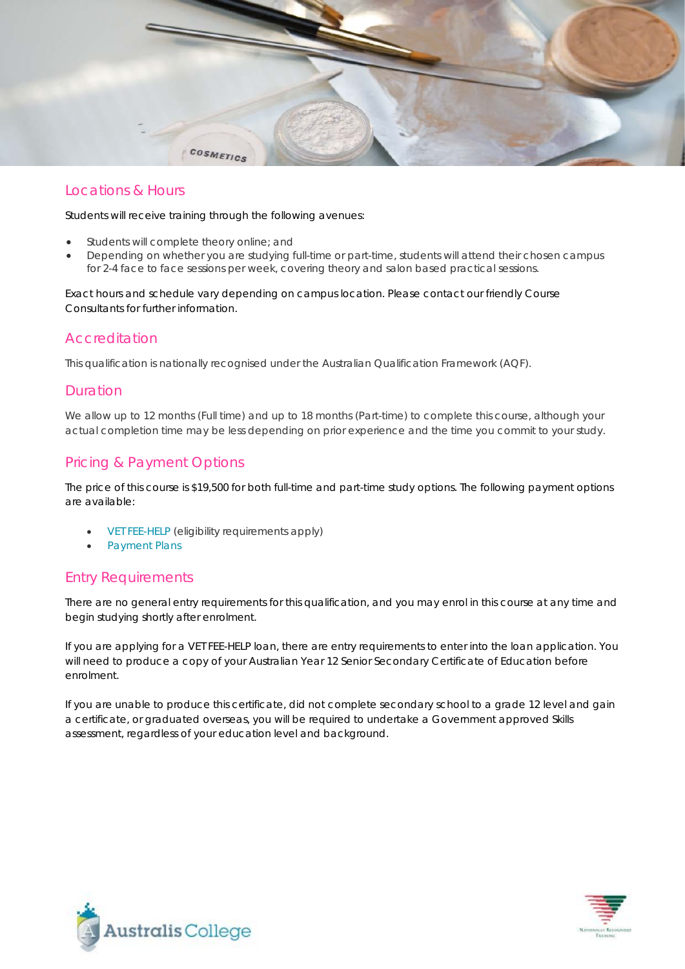

## Locations & Hours

Students will receive training through the following avenues:

- Students will complete theory online; and
- Depending on whether you are studying full-time or part-time, students will attend their chosen campus for 2-4 face to face sessions per week, covering theory and salon based practical sessions.

Exact hours and schedule vary depending on campus location. Please contact our friendly Course Consultants for further information.

#### Accreditation

This qualification is nationally recognised under the Australian Qualification Framework (AQF).

### Duration

We allow up to 12 months (Full time) and up to 18 months (Part-time) to complete this course, although your actual completion time may be less depending on prior experience and the time you commit to your study.

## Pricing & Payment Options

The price of this course is \$19,500 for both full-time and part-time study options. The following payment options are available:

- [VET FEE-HELP](http://www.australiscollege.edu.au/vet-fee-help/) (eligibility requirements apply)
- [Payment Plans](http://www.australiscollege.edu.au/payment-plans/)

## Entry Requirements

There are no general entry requirements for this qualification, and you may enrol in this course at any time and begin studying shortly after enrolment.

If you are applying for a VET FEE-HELP loan, there are entry requirements to enter into the loan application. You will need to produce a copy of your Australian Year 12 Senior Secondary Certificate of Education before enrolment.

If you are unable to produce this certificate, did not complete secondary school to a grade 12 level and gain a certificate, or graduated overseas, you will be required to undertake a Government approved Skills assessment, regardless of your education level and background.